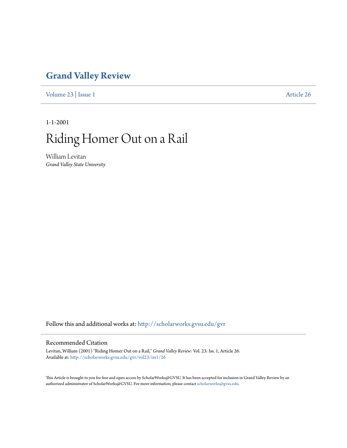### **[Grand Valley Review](http://scholarworks.gvsu.edu/gvr?utm_source=scholarworks.gvsu.edu%2Fgvr%2Fvol23%2Fiss1%2F26&utm_medium=PDF&utm_campaign=PDFCoverPages)**

[Volume 23](http://scholarworks.gvsu.edu/gvr/vol23?utm_source=scholarworks.gvsu.edu%2Fgvr%2Fvol23%2Fiss1%2F26&utm_medium=PDF&utm_campaign=PDFCoverPages) | [Issue 1](http://scholarworks.gvsu.edu/gvr/vol23/iss1?utm_source=scholarworks.gvsu.edu%2Fgvr%2Fvol23%2Fiss1%2F26&utm_medium=PDF&utm_campaign=PDFCoverPages) [Article 26](http://scholarworks.gvsu.edu/gvr/vol23/iss1/26?utm_source=scholarworks.gvsu.edu%2Fgvr%2Fvol23%2Fiss1%2F26&utm_medium=PDF&utm_campaign=PDFCoverPages)

1-1-2001

## Riding Homer Out on a Rail

William Levitan *Grand Valley State University*

Follow this and additional works at: [http://scholarworks.gvsu.edu/gvr](http://scholarworks.gvsu.edu/gvr?utm_source=scholarworks.gvsu.edu%2Fgvr%2Fvol23%2Fiss1%2F26&utm_medium=PDF&utm_campaign=PDFCoverPages)

#### Recommended Citation

Levitan, William (2001) "Riding Homer Out on a Rail," *Grand Valley Review*: Vol. 23: Iss. 1, Article 26. Available at: [http://scholarworks.gvsu.edu/gvr/vol23/iss1/26](http://scholarworks.gvsu.edu/gvr/vol23/iss1/26?utm_source=scholarworks.gvsu.edu%2Fgvr%2Fvol23%2Fiss1%2F26&utm_medium=PDF&utm_campaign=PDFCoverPages)

This Article is brought to you for free and open access by ScholarWorks@GVSU. It has been accepted for inclusion in Grand Valley Review by an authorized administrator of ScholarWorks@GVSU. For more information, please contact [scholarworks@gvsu.edu.](mailto:scholarworks@gvsu.edu)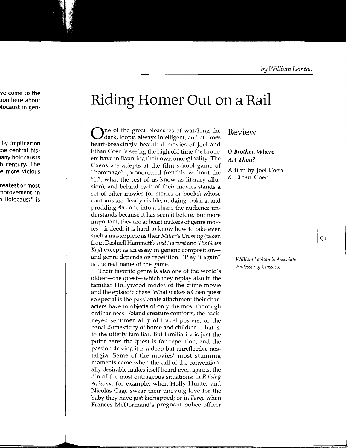# **Riding Homer Out on a Rail**

 $\Omega$  ne of the great pleasures of watching the dark, loopy, always intelligent, and at times heart-breakingly beautiful movies of Joel and Ethan Coen is seeing the high old time the brothers have in flaunting their own unoriginality. The Coens are adepts at the film school game of "hommage" (pronounced frenchly without the "h": what the rest of us know as literary allusion), and behind each of their movies stands a set of other movies (or stories or books) whose contours are clearly visible, nudging, poking, and prodding *this* one into a shape the audience understands because it has seen it before. But more important, they are at heart makers of genre movies-indeed, it is hard to know how to take even such a masterpiece as their *Miller's Crossing* (taken from Dashiell Hammett's *Red Harvest* and The *Glass Key*) except as an essay in generic composition and genre depends on repetition. "Play it again" is the real name of the game.

Their favorite genre is also one of the world's oldest—the quest—which they replay also in the familiar Hollywood modes of the crime movie and the episodic chase. What makes a Coen quest so special is the passionate attachment their characters have to objects of only the most thorough ordinariness-bland creature comforts, the hackneyed sentimentality of travel posters, or the banal domesticity of home and children—that is, to the utterly familiar. But familiarity is just the point here: the quest is for repetition, and the passion driving it is a deep but unreflective nostalgia. Some of the movies' most stunning moments come when the call of the conventionally desirable makes itself heard even against the din of the most outrageous situations: in *Raising Arizona,* for example, when Holly Hunter and Nicolas Cage swear their undying love for the baby they have just kidnapped; or in *Fargo* when Frances McDormand's pregnant police officer

### Review

### 0 *Brother, Where Art Thou?*

A film by Joel Coen & Ethan Coen

> *William Levitan* is *Associate Professor of Classics.*

I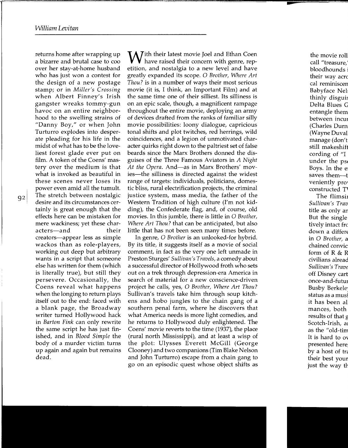returns home after wrapping up a bizarre and brutal case to coo over her stay-at-home husband who has just won a contest for the design of a new postage stamp; or in *Miller's Crossing*  when Albert Finney's Irish gangster wreaks tommy-gun havoc on an entire neighborhood to the swelling strains of "Danny Boy," or when John Turturro explodes into desperate pleading for his life in the midst of what has to be the loveliest forest glade ever put on film. A token of the Coens' mastery over the medium is that what is invoked as beautiful in these scenes never loses its power even amid all the tumult. The stretch between nostalgic desire and its circumstances certainly is great enough that the effects here can be mistaken for mere wackiness; yet these characters—and their creators-appear less as simple wackos than as role-players, working out deep but arbitrary wants in a script that someone else has written for them (which is literally true), but still they persevere. Occasionally, the Coens reveal what happens when the longing to return plays itself out to the end: faced with a blank page, the Broadway writer turned Hollywood hack in *Barton Fink* can only rewrite the same script he has just finished, and in *Blood Simple* the body of a murder victim turns up again and again but remains dead.

92

With their latest movie Joel and Ethan Coen<br>have raised their concern with genre, repetition, and nostalgia to a new level and have greatly expanded its scope. 0 *Brother, Where Art Thou?* is in a number of ways their most serious movie (it is, I think, an Important Film) and at the same time one of their silliest. Its silliness is on an epic scale, though, a magnificent rampage throughout the entire movie, deploying an army of devices drafted from the ranks of familiar silly movie possibilities: loony dialogue, capricious tonal shifts and plot twitches, red herrings, wild coincidences, and a legion of unmotivated character quirks right down to the paltriest set of false beards since the Marx Brothers donned the disguises of the Three Famous Aviators in *A Night*  At the Opera. And-as in Marx Brothers' movies—the silliness is directed against the widest range of targets: individuals, politicians, domestic bliss, rural electrification projects, the criminal justice system, mass media, the father of the Western Tradition of high culture (I'm not kidding), the Confederate flag, and, of course, old movies. In this jumble, there is little in 0 *Brother, Where Art Thou?* that can be anticipated, but also little that has not been seen many times before.

In genre, 0 *Brother* is an unlooked-for hybrid. By its title, it suggests itself as a movie of social comment, in fact as the very one left unmade in Preston Sturges' *Sullivan's Travels,* a comedy about a successful director of Hollywood froth who sets out on a trek through depression-era America in search of material for a new conscience-driven project he calls, yes, 0 *Brother, Where Art Thou?*  Sullivan's travels take him through soup kitchens and hobo jungles to the chain gang of a southern penal farm, where he discovers that what America needs is more light comedies, and he returns to Hollywood duly enlightened. The Coens' movie reverts to the time (1937), the place (rural north Mississippi), and at least a wisp of the plot: Ulysses Everett McGill (George Clooney) and two companions (Tim Blake Nelson and John Turturro) escape from a chain gang to go on an episodic quest whose object shifts as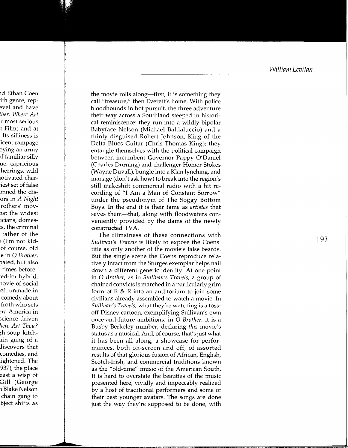the movie rolls along—first, it is something they call"treasure," then Everett's home. With police bloodhounds in hot pursuit, the three adventure their way across a Southland steeped in historical reminiscence: they run into a wildly bipolar Babyface Nelson (Michael Baldaluccio) and a thinly disguised Robert Johnson, King of the Delta Blues Guitar (Chris Thomas King); they entangle themselves with the political campaign between incumbent Governor Pappy O'Daniel (Charles Durning) and challenger Homer Stokes (Wayne Duvall), bungle into a Klan lynching, and manage (don't ask how) to break into the region's still makeshift commercial radio with a hit recording of "I Am a Man of Constant Sorrow" under the pseudonym of The Soggy Bottom Boys. In the end it is their fame as *artistes* that saves them--that, along with floodwaters conveniently provided by the dams of the newly constructed TVA.

The flimsiness of these connections with *Sullivan's Travels* is likely to expose the Coens' title as only another of the movie's false beards. But the single scene the Coens reproduce relatively intact from the Sturges exemplar helps nail down a different generic identity. At one point in 0 *Brother,* as in *Sullivan's Travels,* a group of chained convicts is marched in a particularly grim form of  $R \& R$  into an auditorium to join some civilians already assembled to watch a movie. In *Sullivan's Travels,* what they're watching is a tossoff Disney cartoon, exemplifying Sullivan's own once-and-future ambitions; in 0 *Brother,* it is a Busby Berkeley number, declaring *this* movie's status as a musical. And, of course, that's just what it has been all along, a showcase for performances, both on-screen and off, of assorted results of that glorious fusion of African, English, Scotch-Irish, and commercial traditions known as the "old-time" music of the American South. It is hard to overstate the beauties of the music presented here, vividly and impeccably realized by a host of traditional performers and some of their best younger avatars. The songs are done just the way they're supposed to be done, with

193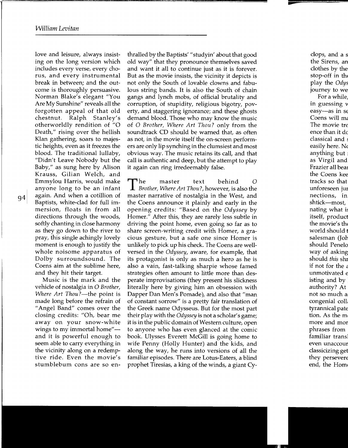love and leisure, always insisting on the long version which includes every verse, every chorus, and every instrumental break in between; and the outcome is thoroughly persuasive. Norman Blake's elegant "You Are My Sunshine" reveals all the forgotten appeal of that old chestnut. Ralph Stanley's otherworldly rendition of "0 Death," rising over the hellish Klan gathering, soars to majestic heights, even as it freezes the blood. The traditional lullaby, "Didn't Leave Nobody but the Baby," as sung here by Alison Krauss, Gilian Welch, and Emmylou Harris, would make anyone long to be an infant again. And when a cotillion of Baptists, white-dad for full immersion, floats in from all directions through the woods, softly chanting in close harmony as they go down to the river to pray, this single achingly lovely moment is enough to justify the whole noisome apparatus of Dolby surroundsound. The Coens aim at the sublime here, and they hit their target.

94

Music is the mark and the vehicle of nostalgia in 0 *Brother, Where Art Thou?*—the point is made long before the refrain of "Angel Band" comes over the closing credits: "Oh, bear me away on your snow-white wings to my immortal home" and it is powerful enough to seem able to carry everything in the vicinity along on a redemptive ride. Even the movie's stumblebum cons are so enthralled by the Baptists' "studyin' about that good old way" that they pronounce themselves saved and want it all to continue just as it is forever. But as the movie insists, the vicinity it depicts is not only the South of lovable clowns and fabulous string bands. It is also the South of chain gangs and lynch mobs, of official brutality and corruption, of stupidity, religious bigotry, poverty, and staggering ignorance; and these ghosts demand blood. Those who may know the music of 0 *Brother, Where Art Thou?* only from the soundtrack CD should be warned that, as often as not, in the movie itself the on-screen performers are only lip synching in the clumsiest and most obvious way. The music retains its call, and that call is authentic and deep, but the attempt to play it again can ring irredeemably false.

The master text behind 0 *Brother, Where Art Thou?,* however, is also the master narrative of nostalgia in the West, and the Coens announce it plainly and early in the opening credits: "Based on the *Odyssey* by Homer." After this, they are rarely less subtle in driving the point home, even going so far as to share screen-writing credit with Homer, a gracious gesture, but a safe one since Homer is unlikely to pick up his check. The Coens are wellversed in the *Odyssey,* aware, for example, that its protagonist is only as much a hero as he is also a vain, fast-talking sharpie whose famed strategies often amount to little more than desperate improvisations (they present his slickness literally here by giving him an obsession with Dapper Dan Men's Pomade), and also that "man of constant sorrow" is a pretty fair translation of the Greek name Odysseus. But for the most part their play with the *Odyssey* is not a scholar's game; it is in the public domain of Western culture, open to anyone who has even glanced at the comic book. Ulysses Everett McGill is going home to wife Penny (Holly Hunter) and the kids, and along the way, he runs into versions of all the familiar episodes. There are Lotus-Eaters, a blind prophet Tiresias, a king of the winds, a giant Cy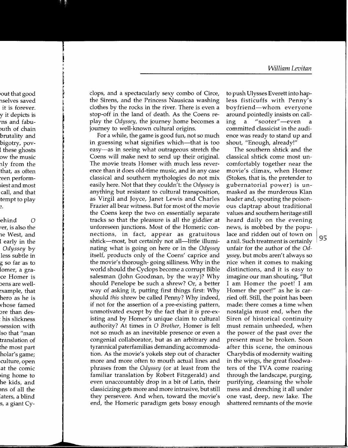~ clops, and a spectacularly sexy combo of Circe, the Sirens, and the Princess Nausicaa washing clothes by the rocks in the river. There is even a stop-off in the land of death. As the Coens replay the *Odyssey,* the journey home becomes a journey to well-known cultural origins.

For a while, the game is good fun, not so much in guessing what signifies which--that is too easy-as in seeing what outrageous stretch the Coens will make next to send up their original. The movie treats Homer with much less reverence than it does old-time music, and in any case classical and southern mythologies do not mix easily here. Not that they couldn't: the *Odyssey* is anything but resistant to cultural transposition, as Virgil and Joyce, Janet Lewis and Charles Frazier all bear witness. But for most of the movie the Coens keep the two on essentially separate tracks so that the pleasure is all the giddier at unforeseen junctions. Most of the Homeric connections, in fact, appear as gratuitous shtick-most, but certainly not all-little illuminating what is going on here or in the *Odyssey*  itself, products only of the Coens' caprice and the movie's thorough- going silliness. Why in the world should the Cyclops become a corrupt Bible salesman (John Goodman, by the way)? Why should Penelope be such a shrew? Or, a better way of asking it, putting first things first: Why should *this* shrew be called Penny? Why indeed, if not for the assertion of a pre-existing pattern, unmotivated except by the fact that it *is* pre-existing and by Homer's unique claim to cultural authority? At times in 0 *Brother,* Homer is felt not so much as an inevitable presence or even a congenial collaborator, but as an arbitrary and tyrannical paterfamilias demanding accommodation. As the movie's yokels step out of character more and more often to mouth actual lines and phrases from the *Odyssey* (or at least from the familiar translation by Robert Fitzgerald) and even unaccountably drop in a bit of Latin, their classicizing gets more and more intrusive, but still they persevere. And when, toward the movie's end, the Homeric paradigm gets bossy enough

to push Ulysses Everett into hapless fisticuffs with Penny's boyfriend-whom everyone around pointedly insists on calling a "sooter"—even a committed classicist in the audience was ready to stand up and shout, "Enough, already!"

The southern shtick and the classical shtick come most uncomfortably together near the movie's climax, when Homer (Stokes, that is, the pretender to gubernatorial power) is unmasked as the murderous Klan leader and, spouting the poisonous claptrap about traditional values and southern heritage still heard daily on the evening news, is mobbed by the populace and ridden out of town on a rail. Such treatment is certainly  $\vert 95 \vert$ unfair for the author of the *Odyssey,* but mobs aren't always so nice when it comes to making distinctions, and it is easy to imagine our man shouting, "But I am Homer the poet! I am Homer the poet!" as he is carried off. Still, the point has been made: there comes a time when nostalgia must end, when the Siren of historical continuity must remain unheeded, when the power of the past over the present must be broken. Soon after this scene, the ominous Charybdis of modernity waiting in the wings, the great floodwaters of the TVA come roaring through the landscape, purging, purifying, cleansing the whole mess and drenching it all under one vast, deep, new lake. The shattered remnants of the movie

I